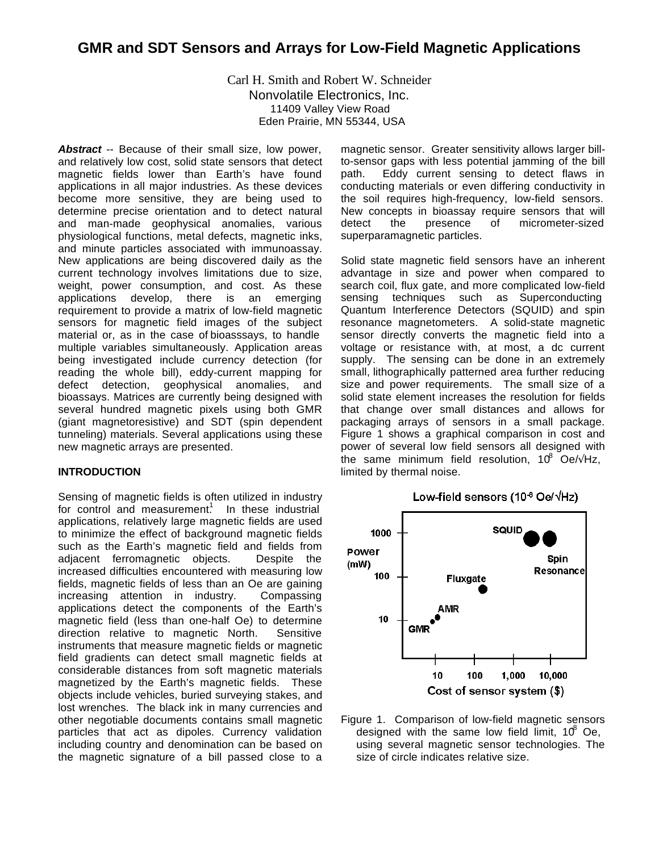Carl H. Smith and Robert W. Schneider Nonvolatile Electronics, Inc. 11409 Valley View Road Eden Prairie, MN 55344, USA

Abstract -- Because of their small size, low power, and relatively low cost, solid state sensors that detect magnetic fields lower than Earth's have found applications in all major industries. As these devices become more sensitive, they are being used to determine precise orientation and to detect natural and man-made geophysical anomalies, various physiological functions, metal defects, magnetic inks, and minute particles associated with immunoassay. New applications are being discovered daily as the current technology involves limitations due to size, weight, power consumption, and cost. As these applications develop, there is an emerging requirement to provide a matrix of low-field magnetic sensors for magnetic field images of the subject material or, as in the case of bioasssays, to handle multiple variables simultaneously. Application areas being investigated include currency detection (for reading the whole bill), eddy-current mapping for defect detection, geophysical anomalies, and bioassays. Matrices are currently being designed with several hundred magnetic pixels using both GMR (giant magnetoresistive) and SDT (spin dependent tunneling) materials. Several applications using these new magnetic arrays are presented.

#### **INTRODUCTION**

Sensing of magnetic fields is often utilized in industry for control and measurement.<sup>1</sup> In these industrial applications, relatively large magnetic fields are used to minimize the effect of background magnetic fields such as the Earth's magnetic field and fields from adjacent ferromagnetic objects. Despite the increased difficulties encountered with measuring low fields, magnetic fields of less than an Oe are gaining increasing attention in industry. Compassing applications detect the components of the Earth's magnetic field (less than one-half Oe) to determine direction relative to magnetic North. Sensitive instruments that measure magnetic fields or magnetic field gradients can detect small magnetic fields at considerable distances from soft magnetic materials magnetized by the Earth's magnetic fields. These objects include vehicles, buried surveying stakes, and lost wrenches. The black ink in many currencies and other negotiable documents contains small magnetic particles that act as dipoles. Currency validation including country and denomination can be based on the magnetic signature of a bill passed close to a magnetic sensor. Greater sensitivity allows larger billto-sensor gaps with less potential jamming of the bill path. Eddy current sensing to detect flaws in conducting materials or even differing conductivity in the soil requires high-frequency, low-field sensors. New concepts in bioassay require sensors that will detect the presence of micrometer-sized superparamagnetic particles.

Solid state magnetic field sensors have an inherent advantage in size and power when compared to search coil, flux gate, and more complicated low-field sensing techniques such as Superconducting Quantum Interference Detectors (SQUID) and spin resonance magnetometers. A solid-state magnetic sensor directly converts the magnetic field into a voltage or resistance with, at most, a dc current supply. The sensing can be done in an extremely small, lithographically patterned area further reducing size and power requirements. The small size of a solid state element increases the resolution for fields that change over small distances and allows for packaging arrays of sensors in a small package. Figure 1 shows a graphical comparison in cost and power of several low field sensors all designed with the same minimum field resolution, 10° Oe/ $\sqrt{Hz}$ , limited by thermal noise.



Figure 1. Comparison of low-field magnetic sensors designed with the same low field limit,  $10^8$  Oe, using several magnetic sensor technologies. The size of circle indicates relative size.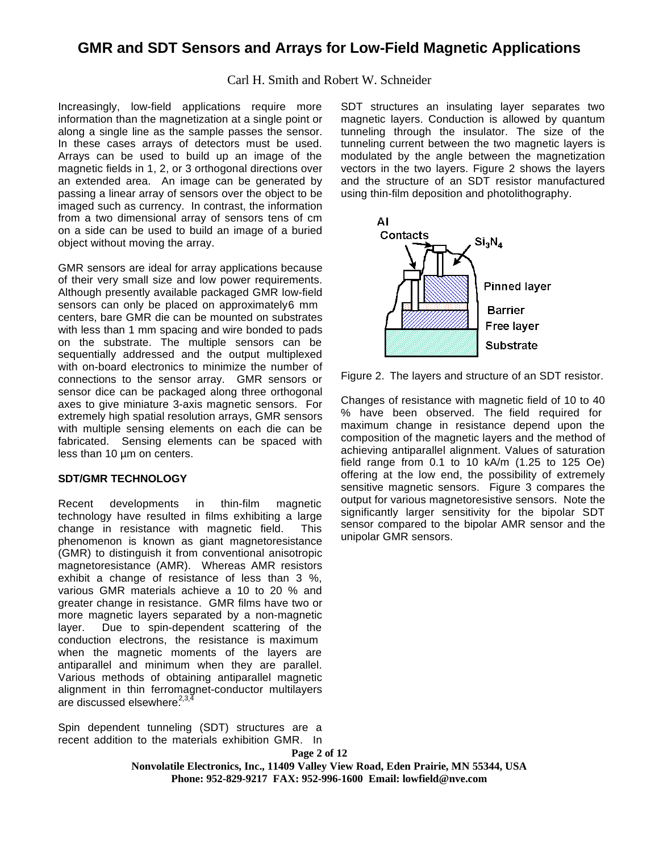Carl H. Smith and Robert W. Schneider

Increasingly, low-field applications require more information than the magnetization at a single point or along a single line as the sample passes the sensor. In these cases arrays of detectors must be used. Arrays can be used to build up an image of the magnetic fields in 1, 2, or 3 orthogonal directions over an extended area. An image can be generated by passing a linear array of sensors over the object to be imaged such as currency. In contrast, the information from a two dimensional array of sensors tens of cm on a side can be used to build an image of a buried object without moving the array.

GMR sensors are ideal for array applications because of their very small size and low power requirements. Although presently available packaged GMR low-field sensors can only be placed on approximately6 mm centers, bare GMR die can be mounted on substrates with less than 1 mm spacing and wire bonded to pads on the substrate. The multiple sensors can be sequentially addressed and the output multiplexed with on-board electronics to minimize the number of connections to the sensor array. GMR sensors or sensor dice can be packaged along three orthogonal axes to give miniature 3-axis magnetic sensors. For extremely high spatial resolution arrays, GMR sensors with multiple sensing elements on each die can be fabricated. Sensing elements can be spaced with less than 10 µm on centers.

### **SDT/GMR TECHNOLOGY**

Recent developments in thin-film magnetic technology have resulted in films exhibiting a large change in resistance with magnetic field. This phenomenon is known as giant magnetoresistance (GMR) to distinguish it from conventional anisotropic magnetoresistance (AMR). Whereas AMR resistors exhibit a change of resistance of less than 3 %, various GMR materials achieve a 10 to 20 % and greater change in resistance. GMR films have two or more magnetic layers separated by a non-magnetic layer. Due to spin-dependent scattering of the conduction electrons, the resistance is maximum when the magnetic moments of the layers are antiparallel and minimum when they are parallel. Various methods of obtaining antiparallel magnetic alignment in thin ferromagnet-conductor multilayers are discussed elsewhere. $2,3$ 

Spin dependent tunneling (SDT) structures are a recent addition to the materials exhibition GMR. In SDT structures an insulating layer separates two magnetic layers. Conduction is allowed by quantum tunneling through the insulator. The size of the tunneling current between the two magnetic layers is modulated by the angle between the magnetization vectors in the two layers. Figure 2 shows the layers and the structure of an SDT resistor manufactured using thin-film deposition and photolithography.



Figure 2. The layers and structure of an SDT resistor.

Changes of resistance with magnetic field of 10 to 40 % have been observed. The field required for maximum change in resistance depend upon the composition of the magnetic layers and the method of achieving antiparallel alignment. Values of saturation field range from 0.1 to 10 kA/m (1.25 to 125 Oe) offering at the low end, the possibility of extremely sensitive magnetic sensors. Figure 3 compares the output for various magnetoresistive sensors. Note the significantly larger sensitivity for the bipolar SDT sensor compared to the bipolar AMR sensor and the unipolar GMR sensors.

**Page 2 of 12 Nonvolatile Electronics, Inc., 11409 Valley View Road, Eden Prairie, MN 55344, USA Phone: 952-829-9217 FAX: 952-996-1600 Email: lowfield@nve.com**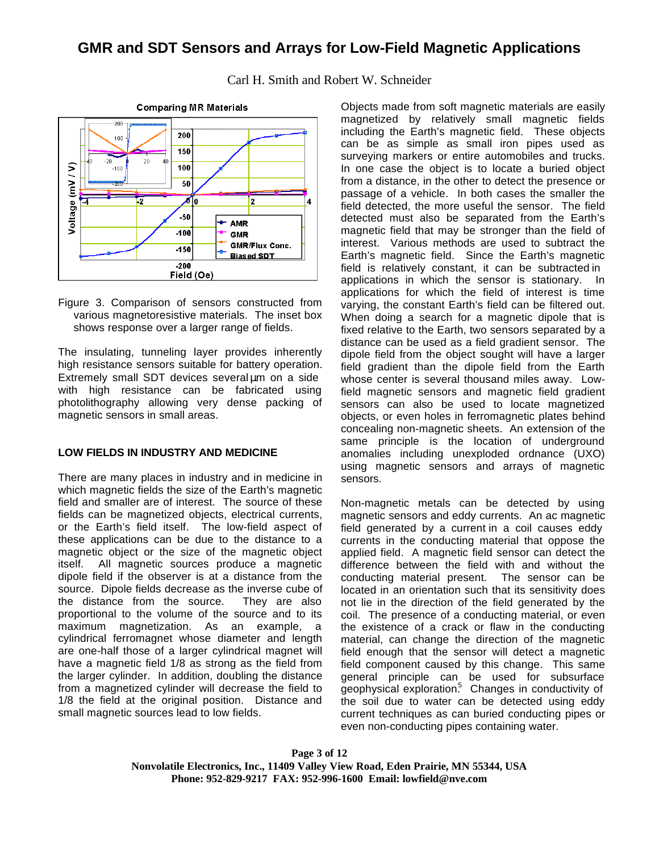

Carl H. Smith and Robert W. Schneider

Figure 3. Comparison of sensors constructed from various magnetoresistive materials. The inset box shows response over a larger range of fields.

The insulating, tunneling layer provides inherently high resistance sensors suitable for battery operation. Extremely small SDT devices several μm on a side with high resistance can be fabricated using photolithography allowing very dense packing of magnetic sensors in small areas.

#### **LOW FIELDS IN INDUSTRY AND MEDICINE**

There are many places in industry and in medicine in which magnetic fields the size of the Earth's magnetic field and smaller are of interest. The source of these fields can be magnetized objects, electrical currents, or the Earth's field itself. The low-field aspect of these applications can be due to the distance to a magnetic object or the size of the magnetic object itself. All magnetic sources produce a magnetic dipole field if the observer is at a distance from the source. Dipole fields decrease as the inverse cube of the distance from the source. They are also proportional to the volume of the source and to its maximum magnetization. As an example, a cylindrical ferromagnet whose diameter and length are one-half those of a larger cylindrical magnet will have a magnetic field 1/8 as strong as the field from the larger cylinder. In addition, doubling the distance from a magnetized cylinder will decrease the field to 1/8 the field at the original position. Distance and small magnetic sources lead to low fields.

Objects made from soft magnetic materials are easily magnetized by relatively small magnetic fields including the Earth's magnetic field. These objects can be as simple as small iron pipes used as surveying markers or entire automobiles and trucks. In one case the object is to locate a buried object from a distance, in the other to detect the presence or passage of a vehicle. In both cases the smaller the field detected, the more useful the sensor. The field detected must also be separated from the Earth's magnetic field that may be stronger than the field of interest. Various methods are used to subtract the Earth's magnetic field. Since the Earth's magnetic field is relatively constant, it can be subtracted in applications in which the sensor is stationary. In applications for which the field of interest is time varying, the constant Earth's field can be filtered out. When doing a search for a magnetic dipole that is fixed relative to the Earth, two sensors separated by a distance can be used as a field gradient sensor. The dipole field from the object sought will have a larger field gradient than the dipole field from the Earth whose center is several thousand miles away. Lowfield magnetic sensors and magnetic field gradient sensors can also be used to locate magnetized objects, or even holes in ferromagnetic plates behind concealing non-magnetic sheets. An extension of the same principle is the location of underground anomalies including unexploded ordnance (UXO) using magnetic sensors and arrays of magnetic sensors.

Non-magnetic metals can be detected by using magnetic sensors and eddy currents. An ac magnetic field generated by a current in a coil causes eddy currents in the conducting material that oppose the applied field. A magnetic field sensor can detect the difference between the field with and without the conducting material present. The sensor can be located in an orientation such that its sensitivity does not lie in the direction of the field generated by the coil. The presence of a conducting material, or even the existence of a crack or flaw in the conducting material, can change the direction of the magnetic field enough that the sensor will detect a magnetic field component caused by this change. This same general principle can be used for subsurface geophysical exploration<sup>5</sup> Changes in conductivity of the soil due to water can be detected using eddy current techniques as can buried conducting pipes or even non-conducting pipes containing water.

**Page 3 of 12 Nonvolatile Electronics, Inc., 11409 Valley View Road, Eden Prairie, MN 55344, USA Phone: 952-829-9217 FAX: 952-996-1600 Email: lowfield@nve.com**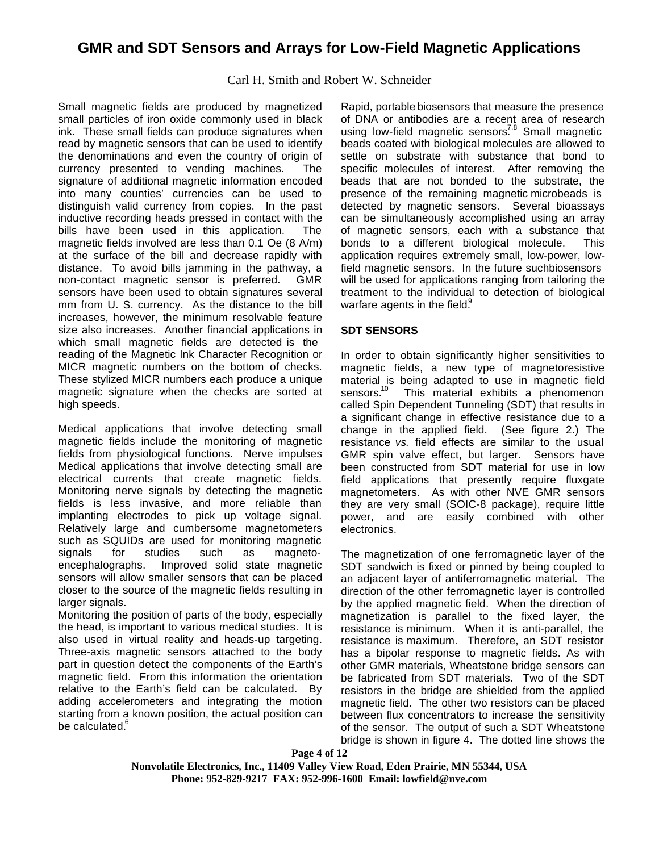### Carl H. Smith and Robert W. Schneider

Small magnetic fields are produced by magnetized small particles of iron oxide commonly used in black ink. These small fields can produce signatures when read by magnetic sensors that can be used to identify the denominations and even the country of origin of currency presented to vending machines. The signature of additional magnetic information encoded into many counties' currencies can be used to distinguish valid currency from copies. In the past inductive recording heads pressed in contact with the bills have been used in this application. The magnetic fields involved are less than 0.1 Oe (8 A/m) at the surface of the bill and decrease rapidly with distance. To avoid bills jamming in the pathway, a non-contact magnetic sensor is preferred. GMR sensors have been used to obtain signatures several mm from U. S. currency. As the distance to the bill increases, however, the minimum resolvable feature size also increases. Another financial applications in which small magnetic fields are detected is the reading of the Magnetic Ink Character Recognition or MICR magnetic numbers on the bottom of checks. These stylized MICR numbers each produce a unique magnetic signature when the checks are sorted at high speeds.

Medical applications that involve detecting small magnetic fields include the monitoring of magnetic fields from physiological functions. Nerve impulses Medical applications that involve detecting small are electrical currents that create magnetic fields. Monitoring nerve signals by detecting the magnetic fields is less invasive, and more reliable than implanting electrodes to pick up voltage signal. Relatively large and cumbersome magnetometers such as SQUIDs are used for monitoring magnetic signals for studies such as magnetoencephalographs. Improved solid state magnetic sensors will allow smaller sensors that can be placed closer to the source of the magnetic fields resulting in larger signals.

Monitoring the position of parts of the body, especially the head, is important to various medical studies. It is also used in virtual reality and heads-up targeting. Three-axis magnetic sensors attached to the body part in question detect the components of the Earth's magnetic field. From this information the orientation relative to the Earth's field can be calculated. By adding accelerometers and integrating the motion starting from a known position, the actual position can be calculated.<sup>6</sup>

Rapid, portable biosensors that measure the presence of DNA or antibodies are a recent area of research using low-field magnetic sensors<sup>7,8</sup> Small magnetic beads coated with biological molecules are allowed to settle on substrate with substance that bond to specific molecules of interest. After removing the beads that are not bonded to the substrate, the presence of the remaining magnetic microbeads is detected by magnetic sensors. Several bioassays can be simultaneously accomplished using an array of magnetic sensors, each with a substance that bonds to a different biological molecule. This application requires extremely small, low-power, lowfield magnetic sensors. In the future suchbiosensors will be used for applications ranging from tailoring the treatment to the individual to detection of biological warfare agents in the field. $\theta$ 

### **SDT SENSORS**

In order to obtain significantly higher sensitivities to magnetic fields, a new type of magnetoresistive material is being adapted to use in magnetic field<br>sensors.<sup>10</sup> This material exhibits a phenomenon This material exhibits a phenomenon called Spin Dependent Tunneling (SDT) that results in a significant change in effective resistance due to a change in the applied field. (See figure 2.) The resistance *vs.* field effects are similar to the usual GMR spin valve effect, but larger. Sensors have been constructed from SDT material for use in low field applications that presently require fluxgate magnetometers. As with other NVE GMR sensors they are very small (SOIC-8 package), require little power, and are easily combined with other electronics.

The magnetization of one ferromagnetic layer of the SDT sandwich is fixed or pinned by being coupled to an adjacent layer of antiferromagnetic material. The direction of the other ferromagnetic layer is controlled by the applied magnetic field. When the direction of magnetization is parallel to the fixed layer, the resistance is minimum. When it is anti-parallel, the resistance is maximum. Therefore, an SDT resistor has a bipolar response to magnetic fields. As with other GMR materials, Wheatstone bridge sensors can be fabricated from SDT materials. Two of the SDT resistors in the bridge are shielded from the applied magnetic field. The other two resistors can be placed between flux concentrators to increase the sensitivity of the sensor. The output of such a SDT Wheatstone bridge is shown in figure 4. The dotted line shows the

**Page 4 of 12 Nonvolatile Electronics, Inc., 11409 Valley View Road, Eden Prairie, MN 55344, USA Phone: 952-829-9217 FAX: 952-996-1600 Email: lowfield@nve.com**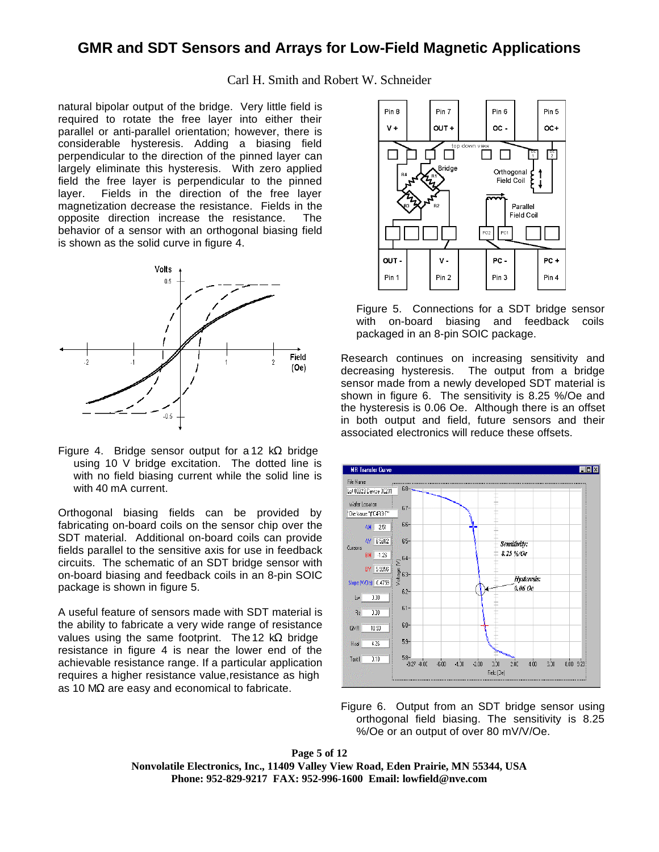Carl H. Smith and Robert W. Schneider

natural bipolar output of the bridge. Very little field is required to rotate the free layer into either their parallel or anti-parallel orientation; however, there is considerable hysteresis. Adding a biasing field perpendicular to the direction of the pinned layer can largely eliminate this hysteresis. With zero applied field the free layer is perpendicular to the pinned layer. Fields in the direction of the free layer magnetization decrease the resistance. Fields in the opposite direction increase the resistance. The behavior of a sensor with an orthogonal biasing field is shown as the solid curve in figure 4.



Figure 4. Bridge sensor output for a 12 k $\Omega$  bridge using 10 V bridge excitation. The dotted line is with no field biasing current while the solid line is with 40 mA current.

Orthogonal biasing fields can be provided by fabricating on-board coils on the sensor chip over the SDT material. Additional on-board coils can provide fields parallel to the sensitive axis for use in feedback circuits. The schematic of an SDT bridge sensor with on-board biasing and feedback coils in an 8-pin SOIC package is shown in figure 5.

A useful feature of sensors made with SDT material is the ability to fabricate a very wide range of resistance values using the same footprint. The 12 k $\Omega$  bridge resistance in figure 4 is near the lower end of the achievable resistance range. If a particular application requires a higher resistance value, resistance as high as 10 MΩ are easy and economical to fabricate.



Figure 5. Connections for a SDT bridge sensor with on-board biasing and feedback coils packaged in an 8-pin SOIC package.

Research continues on increasing sensitivity and decreasing hysteresis. The output from a bridge sensor made from a newly developed SDT material is shown in figure 6. The sensitivity is 8.25 %/Oe and the hysteresis is 0.06 Oe. Although there is an offset in both output and field, future sensors and their associated electronics will reduce these offsets.



Figure 6. Output from an SDT bridge sensor using orthogonal field biasing. The sensitivity is 8.25 %/Oe or an output of over 80 mV/V/Oe.

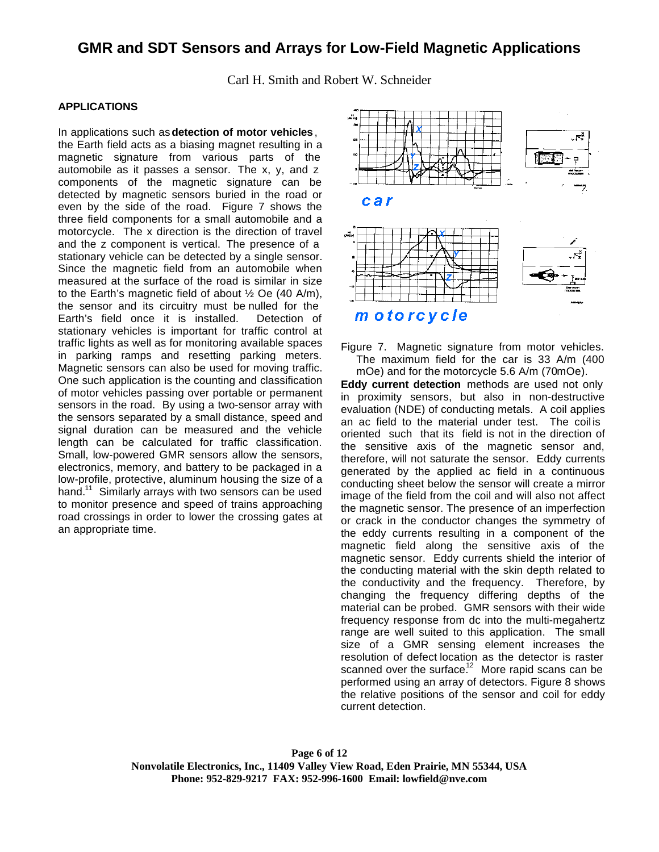Carl H. Smith and Robert W. Schneider

### **APPLICATIONS**

In applications such as **detection of motor vehicles**, the Earth field acts as a biasing magnet resulting in a magnetic signature from various parts of the automobile as it passes a sensor. The x, y, and z components of the magnetic signature can be detected by magnetic sensors buried in the road or even by the side of the road. Figure 7 shows the three field components for a small automobile and a motorcycle. The x direction is the direction of travel and the z component is vertical. The presence of a stationary vehicle can be detected by a single sensor. Since the magnetic field from an automobile when measured at the surface of the road is similar in size to the Earth's magnetic field of about  $\frac{1}{2}$  Oe (40 A/m), the sensor and its circuitry must be nulled for the Earth's field once it is installed. Detection of stationary vehicles is important for traffic control at traffic lights as well as for monitoring available spaces in parking ramps and resetting parking meters. Magnetic sensors can also be used for moving traffic. One such application is the counting and classification of motor vehicles passing over portable or permanent sensors in the road. By using a two-sensor array with the sensors separated by a small distance, speed and signal duration can be measured and the vehicle length can be calculated for traffic classification. Small, low-powered GMR sensors allow the sensors, electronics, memory, and battery to be packaged in a low-profile, protective, aluminum housing the size of a hand.<sup>11</sup> Similarly arrays with two sensors can be used to monitor presence and speed of trains approaching road crossings in order to lower the crossing gates at an appropriate time.



Figure 7. Magnetic signature from motor vehicles. The maximum field for the car is 33 A/m (400 mOe) and for the motorcycle 5.6 A/m (70mOe).

**Eddy current detection** methods are used not only in proximity sensors, but also in non-destructive evaluation (NDE) of conducting metals. A coil applies an ac field to the material under test. The coil is oriented such that its field is not in the direction of the sensitive axis of the magnetic sensor and, therefore, will not saturate the sensor. Eddy currents generated by the applied ac field in a continuous conducting sheet below the sensor will create a mirror image of the field from the coil and will also not affect the magnetic sensor. The presence of an imperfection or crack in the conductor changes the symmetry of the eddy currents resulting in a component of the magnetic field along the sensitive axis of the magnetic sensor. Eddy currents shield the interior of the conducting material with the skin depth related to the conductivity and the frequency. Therefore, by changing the frequency differing depths of the material can be probed. GMR sensors with their wide frequency response from dc into the multi-megahertz range are well suited to this application. The small size of a GMR sensing element increases the resolution of defect location as the detector is raster scanned over the surface.<sup>12</sup> More rapid scans can be performed using an array of detectors. Figure 8 shows the relative positions of the sensor and coil for eddy current detection.

**Page 6 of 12 Nonvolatile Electronics, Inc., 11409 Valley View Road, Eden Prairie, MN 55344, USA Phone: 952-829-9217 FAX: 952-996-1600 Email: lowfield@nve.com**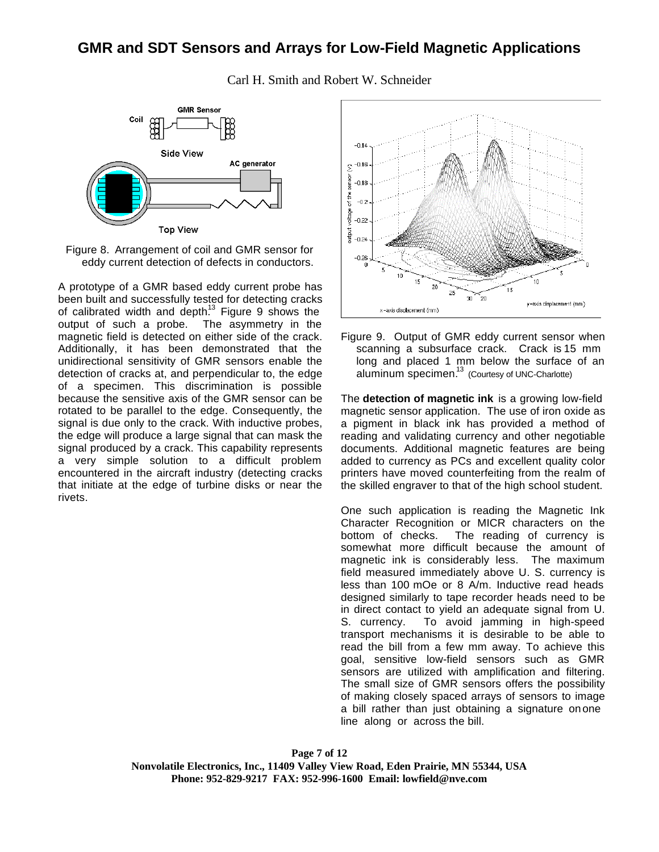

Carl H. Smith and Robert W. Schneider

Figure 8. Arrangement of coil and GMR sensor for eddy current detection of defects in conductors.

A prototype of a GMR based eddy current probe has been built and successfully tested for detecting cracks of calibrated width and depth.<sup>13</sup> Figure 9 shows the output of such a probe. The asymmetry in the magnetic field is detected on either side of the crack. Additionally, it has been demonstrated that the unidirectional sensitivity of GMR sensors enable the detection of cracks at, and perpendicular to, the edge of a specimen. This discrimination is possible because the sensitive axis of the GMR sensor can be rotated to be parallel to the edge. Consequently, the signal is due only to the crack. With inductive probes, the edge will produce a large signal that can mask the signal produced by a crack. This capability represents a very simple solution to a difficult problem encountered in the aircraft industry (detecting cracks that initiate at the edge of turbine disks or near the rivets.



Figure 9. Output of GMR eddy current sensor when scanning a subsurface crack. Crack is 15 mm long and placed 1 mm below the surface of an aluminum specimen.<sup>13</sup> (Courtesy of UNC-Charlotte)

The **detection of magnetic ink** is a growing low-field magnetic sensor application. The use of iron oxide as a pigment in black ink has provided a method of reading and validating currency and other negotiable documents. Additional magnetic features are being added to currency as PCs and excellent quality color printers have moved counterfeiting from the realm of the skilled engraver to that of the high school student.

One such application is reading the Magnetic Ink Character Recognition or MICR characters on the bottom of checks. The reading of currency is somewhat more difficult because the amount of magnetic ink is considerably less. The maximum field measured immediately above U. S. currency is less than 100 mOe or 8 A/m. Inductive read heads designed similarly to tape recorder heads need to be in direct contact to yield an adequate signal from U. S. currency. To avoid jamming in high-speed transport mechanisms it is desirable to be able to read the bill from a few mm away. To achieve this goal, sensitive low-field sensors such as GMR sensors are utilized with amplification and filtering. The small size of GMR sensors offers the possibility of making closely spaced arrays of sensors to image a bill rather than just obtaining a signature on one line along or across the bill.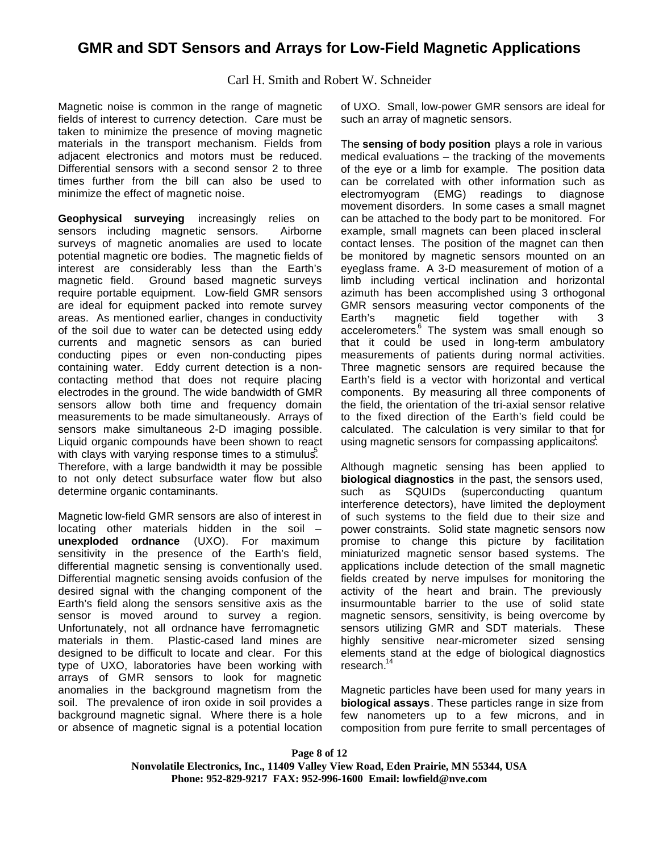Carl H. Smith and Robert W. Schneider

Magnetic noise is common in the range of magnetic fields of interest to currency detection. Care must be taken to minimize the presence of moving magnetic materials in the transport mechanism. Fields from adjacent electronics and motors must be reduced. Differential sensors with a second sensor 2 to three times further from the bill can also be used to minimize the effect of magnetic noise.

**Geophysical surveying** increasingly relies on sensors including magnetic sensors. Airborne sensors including magnetic sensors. surveys of magnetic anomalies are used to locate potential magnetic ore bodies. The magnetic fields of interest are considerably less than the Earth's magnetic field. Ground based magnetic surveys require portable equipment. Low-field GMR sensors are ideal for equipment packed into remote survey areas. As mentioned earlier, changes in conductivity of the soil due to water can be detected using eddy currents and magnetic sensors as can buried conducting pipes or even non-conducting pipes containing water. Eddy current detection is a noncontacting method that does not require placing electrodes in the ground. The wide bandwidth of GMR sensors allow both time and frequency domain measurements to be made simultaneously. Arrays of sensors make simultaneous 2-D imaging possible. Liquid organic compounds have been shown to react with clays with varying response times to a stimulus. Therefore, with a large bandwidth it may be possible to not only detect subsurface water flow but also determine organic contaminants.

Magnetic low-field GMR sensors are also of interest in locating other materials hidden in the soil – **unexploded ordnance** (UXO). For maximum sensitivity in the presence of the Earth's field, differential magnetic sensing is conventionally used. Differential magnetic sensing avoids confusion of the desired signal with the changing component of the Earth's field along the sensors sensitive axis as the sensor is moved around to survey a region. Unfortunately, not all ordnance have ferromagnetic materials in them. Plastic-cased land mines are designed to be difficult to locate and clear. For this type of UXO, laboratories have been working with arrays of GMR sensors to look for magnetic anomalies in the background magnetism from the soil. The prevalence of iron oxide in soil provides a background magnetic signal. Where there is a hole or absence of magnetic signal is a potential location of UXO. Small, low-power GMR sensors are ideal for such an array of magnetic sensors.

The **sensing of body position** plays a role in various medical evaluations – the tracking of the movements of the eye or a limb for example. The position data can be correlated with other information such as electromyogram (EMG) readings to diagnose movement disorders. In some cases a small magnet can be attached to the body part to be monitored. For example, small magnets can been placed in scleral contact lenses. The position of the magnet can then be monitored by magnetic sensors mounted on an eyeglass frame. A 3-D measurement of motion of a limb including vertical inclination and horizontal azimuth has been accomplished using 3 orthogonal GMR sensors measuring vector components of the Earth's magnetic field together with 3 accelerometers.<sup>6</sup> The system was small enough so that it could be used in long-term ambulatory measurements of patients during normal activities. Three magnetic sensors are required because the Earth's field is a vector with horizontal and vertical components. By measuring all three components of the field, the orientation of the tri-axial sensor relative to the fixed direction of the Earth's field could be calculated. The calculation is very similar to that for using magnetic sensors for compassing applicaitons<sup>1</sup>.

Although magnetic sensing has been applied to **biological diagnostics** in the past, the sensors used, such as SQUIDs (superconducting quantum interference detectors), have limited the deployment of such systems to the field due to their size and power constraints. Solid state magnetic sensors now promise to change this picture by facilitation miniaturized magnetic sensor based systems. The applications include detection of the small magnetic fields created by nerve impulses for monitoring the activity of the heart and brain. The previously insurmountable barrier to the use of solid state magnetic sensors, sensitivity, is being overcome by sensors utilizing GMR and SDT materials. These highly sensitive near-micrometer sized sensing elements stand at the edge of biological diagnostics research.<sup>14</sup>

Magnetic particles have been used for many years in **biological assays**. These particles range in size from few nanometers up to a few microns, and in composition from pure ferrite to small percentages of

#### **Page 8 of 12 Nonvolatile Electronics, Inc., 11409 Valley View Road, Eden Prairie, MN 55344, USA Phone: 952-829-9217 FAX: 952-996-1600 Email: lowfield@nve.com**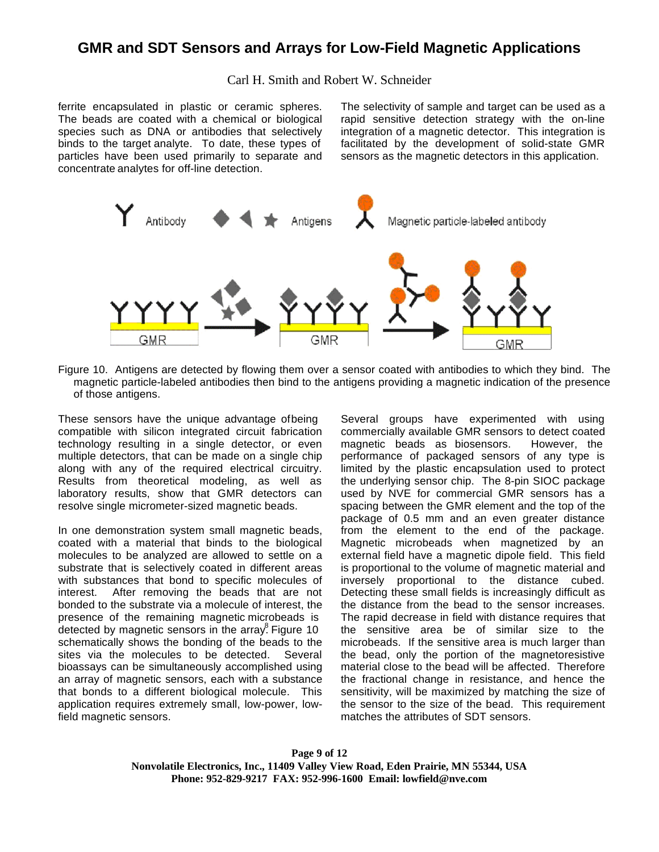### Carl H. Smith and Robert W. Schneider

ferrite encapsulated in plastic or ceramic spheres. The beads are coated with a chemical or biological species such as DNA or antibodies that selectively binds to the target analyte. To date, these types of particles have been used primarily to separate and concentrate analytes for off-line detection.

The selectivity of sample and target can be used as a rapid sensitive detection strategy with the on-line integration of a magnetic detector. This integration is facilitated by the development of solid-state GMR sensors as the magnetic detectors in this application.



Figure 10. Antigens are detected by flowing them over a sensor coated with antibodies to which they bind. The magnetic particle-labeled antibodies then bind to the antigens providing a magnetic indication of the presence of those antigens.

These sensors have the unique advantage of being compatible with silicon integrated circuit fabrication technology resulting in a single detector, or even multiple detectors, that can be made on a single chip along with any of the required electrical circuitry. Results from theoretical modeling, as well as laboratory results, show that GMR detectors can resolve single micrometer-sized magnetic beads.

In one demonstration system small magnetic beads, coated with a material that binds to the biological molecules to be analyzed are allowed to settle on a substrate that is selectively coated in different areas with substances that bond to specific molecules of interest. After removing the beads that are not bonded to the substrate via a molecule of interest, the presence of the remaining magnetic microbeads is detected by magnetic sensors in the array. Figure 10 schematically shows the bonding of the beads to the sites via the molecules to be detected. Several bioassays can be simultaneously accomplished using an array of magnetic sensors, each with a substance that bonds to a different biological molecule. This application requires extremely small, low-power, lowfield magnetic sensors.

Several groups have experimented with using commercially available GMR sensors to detect coated magnetic beads as biosensors. However, the performance of packaged sensors of any type is limited by the plastic encapsulation used to protect the underlying sensor chip. The 8-pin SIOC package used by NVE for commercial GMR sensors has a spacing between the GMR element and the top of the package of 0.5 mm and an even greater distance from the element to the end of the package. Magnetic microbeads when magnetized by an external field have a magnetic dipole field. This field is proportional to the volume of magnetic material and inversely proportional to the distance cubed. Detecting these small fields is increasingly difficult as the distance from the bead to the sensor increases. The rapid decrease in field with distance requires that the sensitive area be of similar size to the microbeads. If the sensitive area is much larger than the bead, only the portion of the magnetoresistive material close to the bead will be affected. Therefore the fractional change in resistance, and hence the sensitivity, will be maximized by matching the size of the sensor to the size of the bead. This requirement matches the attributes of SDT sensors.

**Page 9 of 12 Nonvolatile Electronics, Inc., 11409 Valley View Road, Eden Prairie, MN 55344, USA Phone: 952-829-9217 FAX: 952-996-1600 Email: lowfield@nve.com**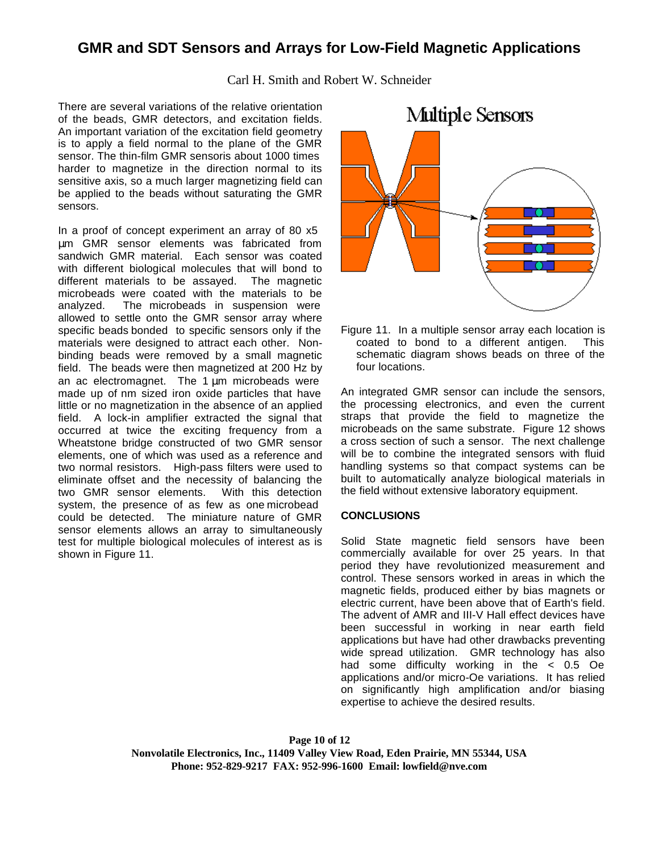Carl H. Smith and Robert W. Schneider

There are several variations of the relative orientation of the beads, GMR detectors, and excitation fields. An important variation of the excitation field geometry is to apply a field normal to the plane of the GMR sensor. The thin-film GMR sensoris about 1000 times harder to magnetize in the direction normal to its sensitive axis, so a much larger magnetizing field can be applied to the beads without saturating the GMR sensors.

In a proof of concept experiment an array of 80 x5 μm GMR sensor elements was fabricated from sandwich GMR material. Each sensor was coated with different biological molecules that will bond to different materials to be assayed. The magnetic microbeads were coated with the materials to be analyzed. The microbeads in suspension were allowed to settle onto the GMR sensor array where specific beads bonded to specific sensors only if the materials were designed to attract each other. Nonbinding beads were removed by a small magnetic field. The beads were then magnetized at 200 Hz by an ac electromagnet. The 1  $\mu$ m microbeads were made up of nm sized iron oxide particles that have little or no magnetization in the absence of an applied field. A lock-in amplifier extracted the signal that occurred at twice the exciting frequency from a Wheatstone bridge constructed of two GMR sensor elements, one of which was used as a reference and two normal resistors. High-pass filters were used to eliminate offset and the necessity of balancing the two GMR sensor elements. With this detection system, the presence of as few as one microbead could be detected. The miniature nature of GMR sensor elements allows an array to simultaneously test for multiple biological molecules of interest as is shown in Figure 11.



Figure 11. In a multiple sensor array each location is coated to bond to a different antigen. This schematic diagram shows beads on three of the four locations.

An integrated GMR sensor can include the sensors, the processing electronics, and even the current straps that provide the field to magnetize the microbeads on the same substrate. Figure 12 shows a cross section of such a sensor. The next challenge will be to combine the integrated sensors with fluid handling systems so that compact systems can be built to automatically analyze biological materials in the field without extensive laboratory equipment.

### **CONCLUSIONS**

Solid State magnetic field sensors have been commercially available for over 25 years. In that period they have revolutionized measurement and control. These sensors worked in areas in which the magnetic fields, produced either by bias magnets or electric current, have been above that of Earth's field. The advent of AMR and III-V Hall effect devices have been successful in working in near earth field applications but have had other drawbacks preventing wide spread utilization. GMR technology has also had some difficulty working in the < 0.5 Oe applications and/or micro-Oe variations. It has relied on significantly high amplification and/or biasing expertise to achieve the desired results.

**Page 10 of 12 Nonvolatile Electronics, Inc., 11409 Valley View Road, Eden Prairie, MN 55344, USA Phone: 952-829-9217 FAX: 952-996-1600 Email: lowfield@nve.com**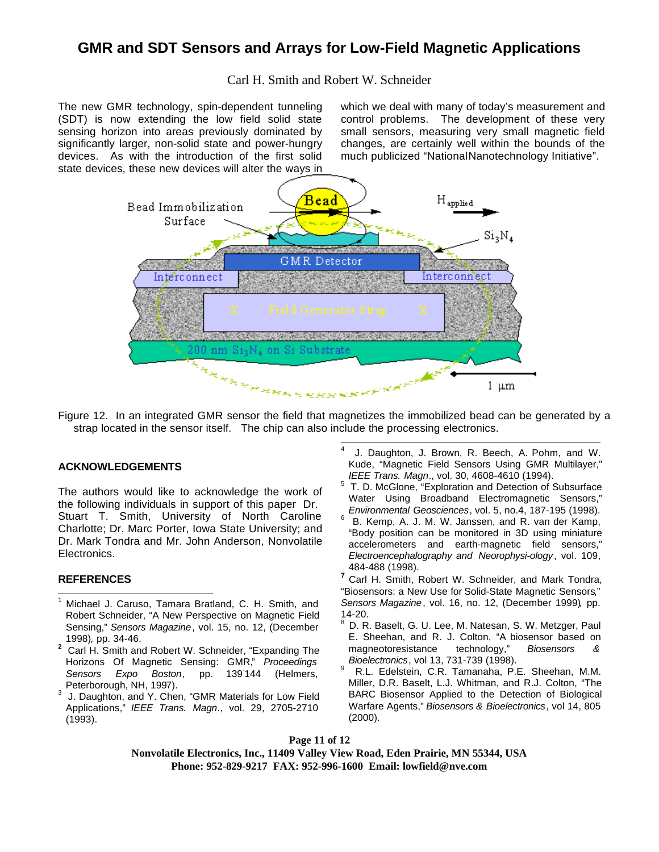### Carl H. Smith and Robert W. Schneider

The new GMR technology, spin-dependent tunneling (SDT) is now extending the low field solid state sensing horizon into areas previously dominated by significantly larger, non-solid state and power-hungry devices. As with the introduction of the first solid state devices, these new devices will alter the ways in which we deal with many of today's measurement and control problems. The development of these very small sensors, measuring very small magnetic field changes, are certainly well within the bounds of the much publicized "National Nanotechnology Initiative".



Figure 12. In an integrated GMR sensor the field that magnetizes the immobilized bead can be generated by a strap located in the sensor itself. The chip can also include the processing electronics.

#### **ACKNOWLEDGEMENTS**

The authors would like to acknowledge the work of the following individuals in support of this paper: Dr. Stuart T. Smith, University of North Caroline Charlotte; Dr. Marc Porter, Iowa State University; and Dr. Mark Tondra and Mr. John Anderson, Nonvolatile Electronics.

#### **REFERENCES**

- Michael J. Caruso, Tamara Bratland, C. H. Smith, and Robert Schneider, "A New Perspective on Magnetic Field Sensing," *Sensors Magazine*, vol. 15, no. 12, (December 1998)*,* pp. 34-46.
- **2** Carl H. Smith and Robert W. Schneider, "Expanding The Horizons Of Magnetic Sensing: GMR," *Proceedings* **Sensors Expo Boston,** pp. 139'144 (Helmers, Peterborough, NH, 1997).
- 3 J. Daughton, and Y. Chen, "GMR Materials for Low Field Applications," *IEEE Trans. Magn*., vol. 29, 2705-2710 (1993).
- 4 J. Daughton, J. Brown, R. Beech, A. Pohm, and W. Kude, "Magnetic Field Sensors Using GMR Multilayer," *IEEE Trans. Magn*., vol. 30, 4608-4610 (1994).
- 5 T. D. McGlone, "Exploration and Detection of Subsurface Water Using Broadband Electromagnetic Sensors," *Environmental Geosciences*, vol. 5, no.4, 187-195 (1998).
- 6 B. Kemp, A. J. M. W. Janssen, and R. van der Kamp, "Body position can be monitored in 3D using miniature accelerometers and earth-magnetic field sensors," *Electroencephalography and Neorophysi-ology*, vol. 109, 484-488 (1998).
- **<sup>7</sup>** Carl H. Smith, Robert W. Schneider, and Mark Tondra, "Biosensors: a New Use for Solid-State Magnetic Sensors," *Sensors Magazine*, vol. 16, no. 12, (December 1999)*,* pp. 14-20.
- 8 D. R. Baselt, G. U. Lee, M. Natesan, S. W. Metzger, Paul E. Sheehan, and R. J. Colton, "A biosensor based on magneotoresistance technology," Biosensors & magneotoresistance technology," *Biosensors & Bioelectronics*, vol 13, 731-739 (1998).
- 9 R.L. Edelstein, C.R. Tamanaha, P.E. Sheehan, M.M. Miller, D.R. Baselt, L.J. Whitman, and R.J. Colton, "The BARC Biosensor Applied to the Detection of Biological Warfare Agents," *Biosensors & Bioelectronics*, vol 14, 805 (2000).

**Page 11 of 12**

**Nonvolatile Electronics, Inc., 11409 Valley View Road, Eden Prairie, MN 55344, USA Phone: 952-829-9217 FAX: 952-996-1600 Email: lowfield@nve.com**